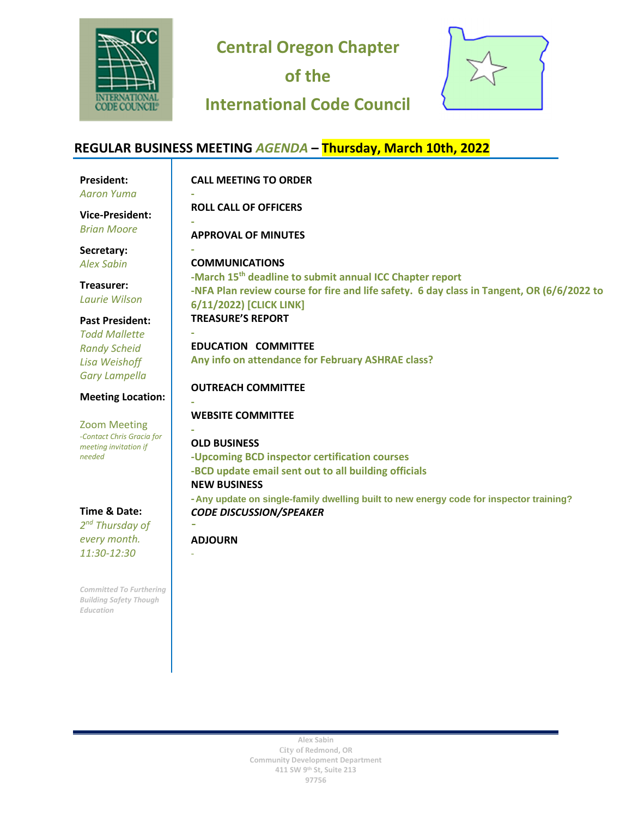

**Central Oregon Chapter** 

**of the** 

# **International Code Council**



#### **REGULAR BUSINESS MEETING** *AGENDA* **– Thursday, March 10th, 2022 President:**  *Aaron Yuma* **CALL MEETING TO ORDER - ROLL CALL OF OFFICERS - APPROVAL OF MINUTES - COMMUNICATIONS -March 15th deadline to submit annual ICC Chapter report -NFA Plan review course for fire and life safety. 6 day class in Tangent, OR (6/6/2022 to 6/11/2022) [\[CLICK LINK\]](https://www.pyramidheating.com/about-us/) TREASURE'S REPORT - EDUCATION COMMITTEE Any info on attendance for February ASHRAE class? OUTREACH COMMITTEE - WEBSITE COMMITTEE - OLD BUSINESS -Upcoming BCD inspector certification courses -BCD update email sent out to all building officials NEW BUSINESS - Any update on single-family dwelling built to new energy code for inspector training?** *CODE DISCUSSION/SPEAKER -***Gary Phillis with Pyramid Heating: Energy Code Changes [CLICK LINK] Vice-President:** *Brian Moore* **Secretary:** *Alex Sabin* **Treasurer:** *Laurie Wilson* **Past President:** *Todd Mallette Randy Scheid Lisa Weishoff Gary Lampella* **Meeting Location:** Zoom Meeting *-Contact Chris Gracia for meeting invitation if needed*  **Time & Date:** -

**ADJOURN** 

-

**Alex Sabin City of Redmond, OR Community Development Department 411 SW 9th St, Suite 213 97756** 

*2 nd Thursday of every month. 11:30-12:30*

*Committed To Furthering Building Safety Though Education*